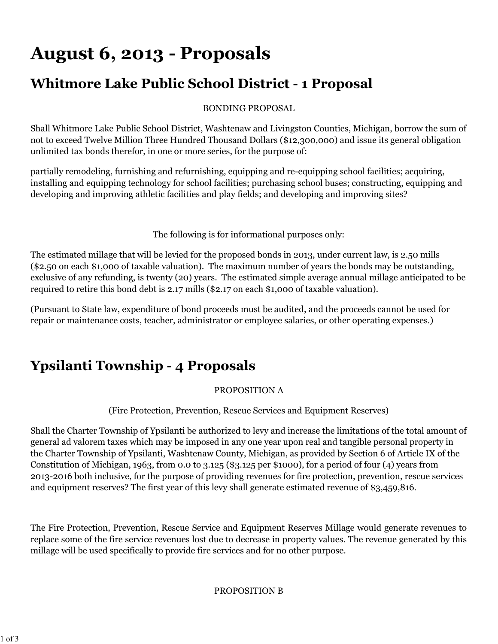# **August 6, 2013 - Proposals**

### **Whitmore Lake Public School District - 1 Proposal**

BONDING PROPOSAL

Shall Whitmore Lake Public School District, Washtenaw and Livingston Counties, Michigan, borrow the sum of not to exceed Twelve Million Three Hundred Thousand Dollars (\$12,300,000) and issue its general obligation unlimited tax bonds therefor, in one or more series, for the purpose of:

partially remodeling, furnishing and refurnishing, equipping and re-equipping school facilities; acquiring, installing and equipping technology for school facilities; purchasing school buses; constructing, equipping and developing and improving athletic facilities and play fields; and developing and improving sites?

The following is for informational purposes only:

The estimated millage that will be levied for the proposed bonds in 2013, under current law, is 2.50 mills (\$2.50 on each \$1,000 of taxable valuation). The maximum number of years the bonds may be outstanding, exclusive of any refunding, is twenty (20) years. The estimated simple average annual millage anticipated to be required to retire this bond debt is 2.17 mills (\$2.17 on each \$1,000 of taxable valuation).

(Pursuant to State law, expenditure of bond proceeds must be audited, and the proceeds cannot be used for repair or maintenance costs, teacher, administrator or employee salaries, or other operating expenses.)

## **Ypsilanti Township - 4 Proposals**

#### PROPOSITION A

(Fire Protection, Prevention, Rescue Services and Equipment Reserves)

Shall the Charter Township of Ypsilanti be authorized to levy and increase the limitations of the total amount of general ad valorem taxes which may be imposed in any one year upon real and tangible personal property in the Charter Township of Ypsilanti, Washtenaw County, Michigan, as provided by Section 6 of Article IX of the Constitution of Michigan, 1963, from 0.0 to 3.125 (\$3.125 per \$1000), for a period of four (4) years from 2013-2016 both inclusive, for the purpose of providing revenues for fire protection, prevention, rescue services and equipment reserves? The first year of this levy shall generate estimated revenue of \$3,459,816.

The Fire Protection, Prevention, Rescue Service and Equipment Reserves Millage would generate revenues to replace some of the fire service revenues lost due to decrease in property values. The revenue generated by this millage will be used specifically to provide fire services and for no other purpose.

PROPOSITION B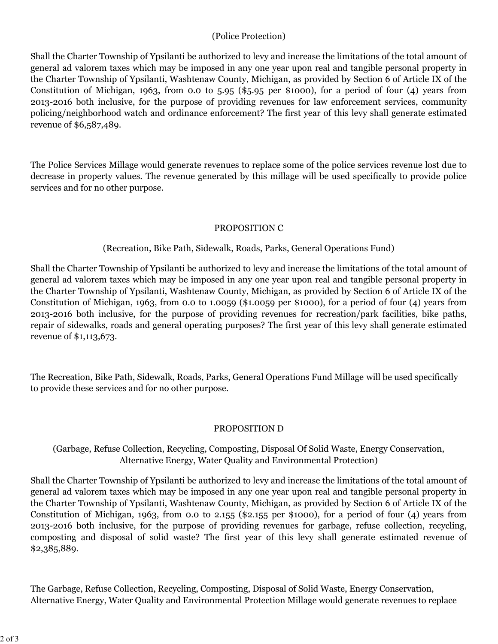#### (Police Protection)

Shall the Charter Township of Ypsilanti be authorized to levy and increase the limitations of the total amount of general ad valorem taxes which may be imposed in any one year upon real and tangible personal property in the Charter Township of Ypsilanti, Washtenaw County, Michigan, as provided by Section 6 of Article IX of the Constitution of Michigan, 1963, from 0.0 to 5.95 (\$5.95 per \$1000), for a period of four  $(4)$  years from 2013-2016 both inclusive, for the purpose of providing revenues for law enforcement services, community policing/neighborhood watch and ordinance enforcement? The first year of this levy shall generate estimated revenue of \$6,587,489.

The Police Services Millage would generate revenues to replace some of the police services revenue lost due to decrease in property values. The revenue generated by this millage will be used specifically to provide police services and for no other purpose.

#### PROPOSITION C

#### (Recreation, Bike Path, Sidewalk, Roads, Parks, General Operations Fund)

Shall the Charter Township of Ypsilanti be authorized to levy and increase the limitations of the total amount of general ad valorem taxes which may be imposed in any one year upon real and tangible personal property in the Charter Township of Ypsilanti, Washtenaw County, Michigan, as provided by Section 6 of Article IX of the Constitution of Michigan, 1963, from 0.0 to 1.0059 (\$1.0059 per \$1000), for a period of four (4) years from 2013-2016 both inclusive, for the purpose of providing revenues for recreation/park facilities, bike paths, repair of sidewalks, roads and general operating purposes? The first year of this levy shall generate estimated revenue of \$1,113,673.

The Recreation, Bike Path, Sidewalk, Roads, Parks, General Operations Fund Millage will be used specifically to provide these services and for no other purpose.

#### PROPOSITION D

#### (Garbage, Refuse Collection, Recycling, Composting, Disposal Of Solid Waste, Energy Conservation, Alternative Energy, Water Quality and Environmental Protection)

Shall the Charter Township of Ypsilanti be authorized to levy and increase the limitations of the total amount of general ad valorem taxes which may be imposed in any one year upon real and tangible personal property in the Charter Township of Ypsilanti, Washtenaw County, Michigan, as provided by Section 6 of Article IX of the Constitution of Michigan, 1963, from 0.0 to 2.155 (\$2.155 per \$1000), for a period of four (4) years from 2013-2016 both inclusive, for the purpose of providing revenues for garbage, refuse collection, recycling, composting and disposal of solid waste? The first year of this levy shall generate estimated revenue of \$2,385,889.

The Garbage, Refuse Collection, Recycling, Composting, Disposal of Solid Waste, Energy Conservation, Alternative Energy, Water Quality and Environmental Protection Millage would generate revenues to replace